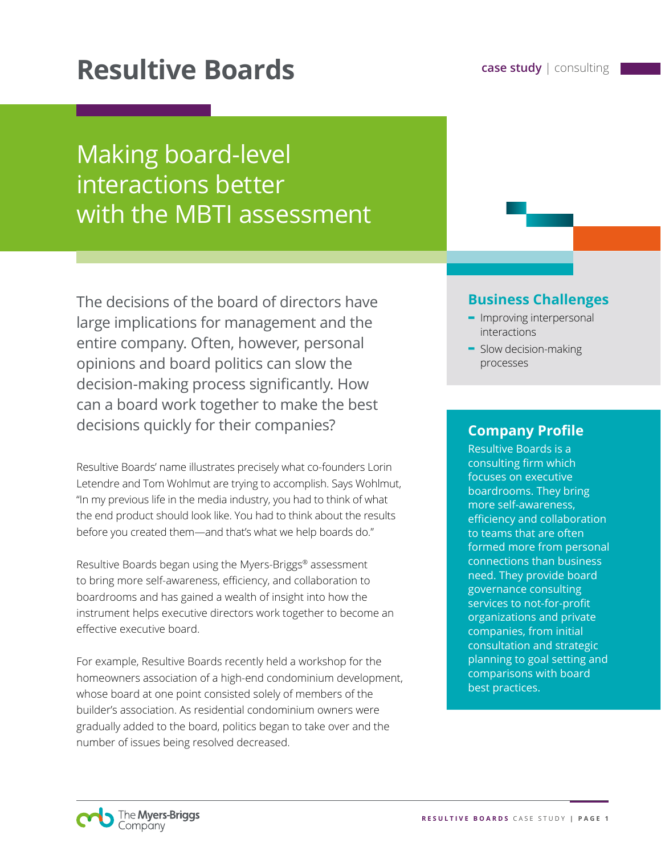# **Resultive Boards case study** | consulting

## Making board-level interactions better with the MBTI assessment

The decisions of the board of directors have large implications for management and the entire company. Often, however, personal opinions and board politics can slow the decision-making process significantly. How can a board work together to make the best decisions quickly for their companies?

Resultive Boards' name illustrates precisely what co-founders Lorin Letendre and Tom Wohlmut are trying to accomplish. Says Wohlmut, "In my previous life in the media industry, you had to think of what the end product should look like. You had to think about the results before you created them—and that's what we help boards do."

Resultive Boards began using the Myers-Briggs® assessment to bring more self-awareness, efficiency, and collaboration to boardrooms and has gained a wealth of insight into how the instrument helps executive directors work together to become an effective executive board.

For example, Resultive Boards recently held a workshop for the homeowners association of a high-end condominium development, whose board at one point consisted solely of members of the builder's association. As residential condominium owners were gradually added to the board, politics began to take over and the number of issues being resolved decreased.

### **Business Challenges**

- **-** Improving interpersonal interactions
- **-** Slow decision-making processes

## **Company Profile**

Resultive Boards is a consulting firm which focuses on executive boardrooms. They bring more self-awareness, efficiency and collaboration to teams that are often formed more from personal connections than business need. They provide board governance consulting services to not-for-profit organizations and private companies, from initial consultation and strategic planning to goal setting and comparisons with board best practices.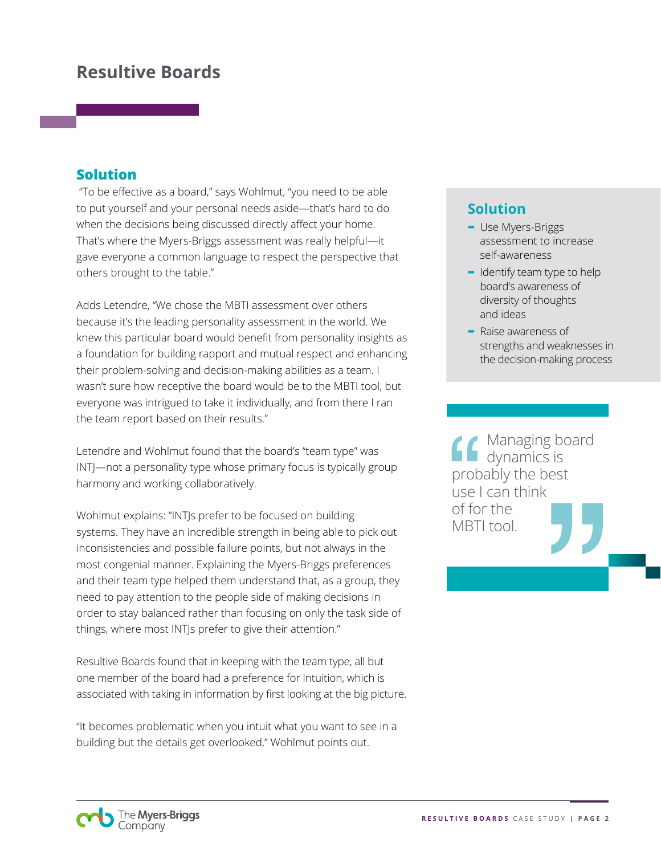## **Resultive Boards**

#### **Solution**

 "To be effective as a board," says Wohlmut, "you need to be able to put yourself and your personal needs aside—that's hard to do when the decisions being discussed directly affect your home. That's where the Myers-Briggs assessment was really helpful—it gave everyone a common language to respect the perspective that others brought to the table."

Adds Letendre, "We chose the MBTI assessment over others because it's the leading personality assessment in the world. We knew this particular board would benefit from personality insights as a foundation for building rapport and mutual respect and enhancing their problem-solving and decision-making abilities as a team. I wasn't sure how receptive the board would be to the MBTI tool, but everyone was intrigued to take it individually, and from there I ran the team report based on their results."

Letendre and Wohlmut found that the board's "team type" was INTJ—not a personality type whose primary focus is typically group harmony and working collaboratively.

Wohlmut explains: "INTJs prefer to be focused on building systems. They have an incredible strength in being able to pick out inconsistencies and possible failure points, but not always in the most congenial manner. Explaining the Myers-Briggs preferences and their team type helped them understand that, as a group, they need to pay attention to the people side of making decisions in order to stay balanced rather than focusing on only the task side of things, where most INTJs prefer to give their attention."

Resultive Boards found that in keeping with the team type, all but one member of the board had a preference for Intuition, which is associated with taking in information by first looking at the big picture.

"It becomes problematic when you intuit what you want to see in a building but the details get overlooked," Wohlmut points out.

## **Solution**

- **-** Use Myers-Briggs assessment to increase self-awareness
- **-** Identify team type to help board's awareness of diversity of thoughts and ideas
- **-** Raise awareness of strengths and weaknesses in the decision-making process

Managing board dynamics is probably the best use I can think of for the MBTI tool.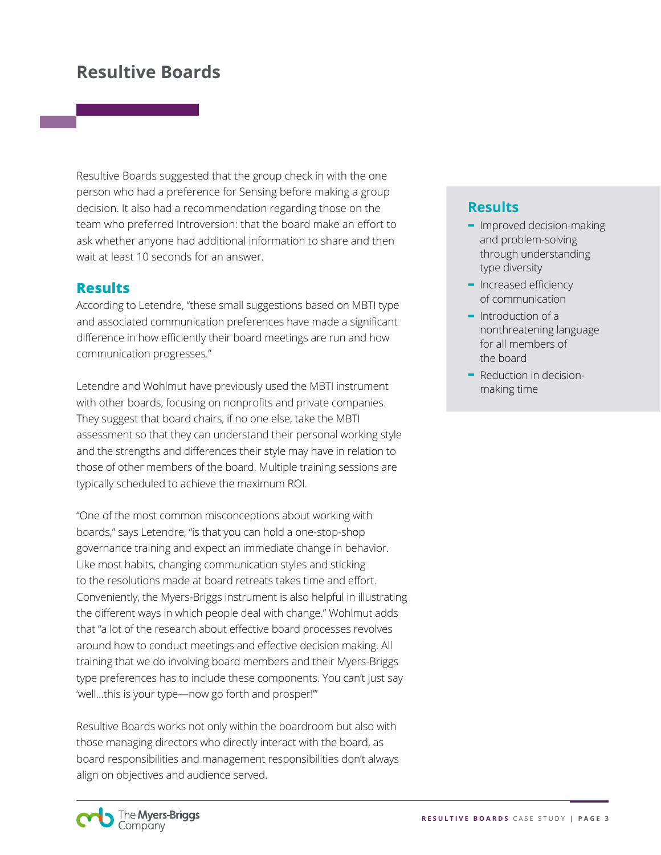## **Resultive Boards**

Resultive Boards suggested that the group check in with the one person who had a preference for Sensing before making a group decision. It also had a recommendation regarding those on the team who preferred Introversion: that the board make an effort to ask whether anyone had additional information to share and then wait at least 10 seconds for an answer.

#### **Results**

According to Letendre, "these small suggestions based on MBTI type and associated communication preferences have made a significant difference in how efficiently their board meetings are run and how communication progresses."

Letendre and Wohlmut have previously used the MBTI instrument with other boards, focusing on nonprofits and private companies. They suggest that board chairs, if no one else, take the MBTI assessment so that they can understand their personal working style and the strengths and differences their style may have in relation to those of other members of the board. Multiple training sessions are typically scheduled to achieve the maximum ROI.

"One of the most common misconceptions about working with boards," says Letendre, "is that you can hold a one-stop-shop governance training and expect an immediate change in behavior. Like most habits, changing communication styles and sticking to the resolutions made at board retreats takes time and effort. Conveniently, the Myers-Briggs instrument is also helpful in illustrating the different ways in which people deal with change." Wohlmut adds that "a lot of the research about effective board processes revolves around how to conduct meetings and effective decision making. All training that we do involving board members and their Myers-Briggs type preferences has to include these components. You can't just say 'well…this is your type—now go forth and prosper!'"

Resultive Boards works not only within the boardroom but also with those managing directors who directly interact with the board, as board responsibilities and management responsibilities don't always align on objectives and audience served.

#### **Results**

- **-** Improved decision-making and problem-solving through understanding type diversity
- **-** Increased efficiency of communication
- **-** Introduction of a nonthreatening language for all members of the board
- **-** Reduction in decisionmaking time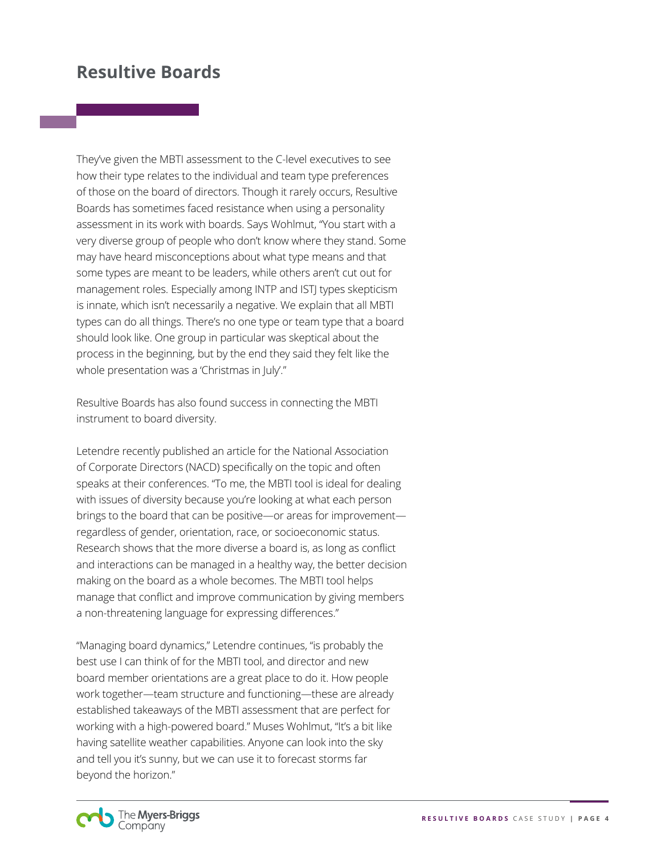## **Resultive Boards**

They've given the MBTI assessment to the C-level executives to see how their type relates to the individual and team type preferences of those on the board of directors. Though it rarely occurs, Resultive Boards has sometimes faced resistance when using a personality assessment in its work with boards. Says Wohlmut, "You start with a very diverse group of people who don't know where they stand. Some may have heard misconceptions about what type means and that some types are meant to be leaders, while others aren't cut out for management roles. Especially among INTP and ISTJ types skepticism is innate, which isn't necessarily a negative. We explain that all MBTI types can do all things. There's no one type or team type that a board should look like. One group in particular was skeptical about the process in the beginning, but by the end they said they felt like the whole presentation was a 'Christmas in July'."

Resultive Boards has also found success in connecting the MBTI instrument to board diversity.

Letendre recently published an article for the National Association of Corporate Directors (NACD) specifically on the topic and often speaks at their conferences. "To me, the MBTI tool is ideal for dealing with issues of diversity because you're looking at what each person brings to the board that can be positive—or areas for improvement regardless of gender, orientation, race, or socioeconomic status. Research shows that the more diverse a board is, as long as conflict and interactions can be managed in a healthy way, the better decision making on the board as a whole becomes. The MBTI tool helps manage that conflict and improve communication by giving members a non-threatening language for expressing differences."

"Managing board dynamics," Letendre continues, "is probably the best use I can think of for the MBTI tool, and director and new board member orientations are a great place to do it. How people work together—team structure and functioning—these are already established takeaways of the MBTI assessment that are perfect for working with a high-powered board." Muses Wohlmut, "It's a bit like having satellite weather capabilities. Anyone can look into the sky and tell you it's sunny, but we can use it to forecast storms far beyond the horizon."